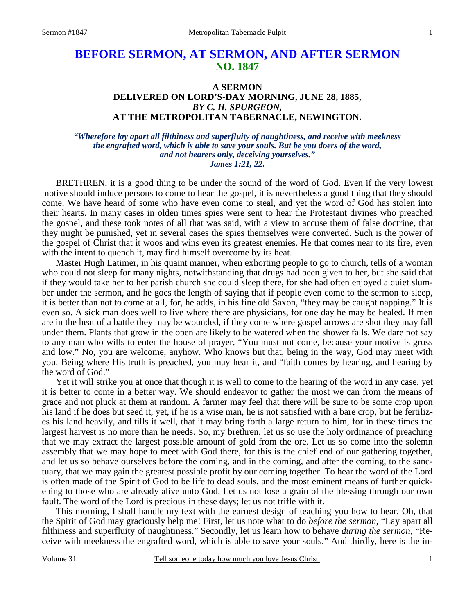## **BEFORE SERMON, AT SERMON, AND AFTER SERMON NO. 1847**

## **A SERMON DELIVERED ON LORD'S-DAY MORNING, JUNE 28, 1885,**  *BY C. H. SPURGEON,*  **AT THE METROPOLITAN TABERNACLE, NEWINGTON.**

*"Wherefore lay apart all filthiness and superfluity of naughtiness, and receive with meekness the engrafted word, which is able to save your souls. But be you doers of the word, and not hearers only, deceiving yourselves." James 1:21, 22.* 

BRETHREN, it is a good thing to be under the sound of the word of God. Even if the very lowest motive should induce persons to come to hear the gospel, it is nevertheless a good thing that they should come. We have heard of some who have even come to steal, and yet the word of God has stolen into their hearts. In many cases in olden times spies were sent to hear the Protestant divines who preached the gospel, and these took notes of all that was said, with a view to accuse them of false doctrine, that they might be punished, yet in several cases the spies themselves were converted. Such is the power of the gospel of Christ that it woos and wins even its greatest enemies. He that comes near to its fire, even with the intent to quench it, may find himself overcome by its heat.

 Master Hugh Latimer, in his quaint manner, when exhorting people to go to church, tells of a woman who could not sleep for many nights, notwithstanding that drugs had been given to her, but she said that if they would take her to her parish church she could sleep there, for she had often enjoyed a quiet slumber under the sermon, and he goes the length of saying that if people even come to the sermon to sleep, it is better than not to come at all, for, he adds, in his fine old Saxon, "they may be caught napping." It is even so. A sick man does well to live where there are physicians, for one day he may be healed. If men are in the heat of a battle they may be wounded, if they come where gospel arrows are shot they may fall under them. Plants that grow in the open are likely to be watered when the shower falls. We dare not say to any man who wills to enter the house of prayer, "You must not come, because your motive is gross and low." No, you are welcome, anyhow. Who knows but that, being in the way, God may meet with you. Being where His truth is preached, you may hear it, and "faith comes by hearing, and hearing by the word of God."

 Yet it will strike you at once that though it is well to come to the hearing of the word in any case, yet it is better to come in a better way. We should endeavor to gather the most we can from the means of grace and not pluck at them at random. A farmer may feel that there will be sure to be some crop upon his land if he does but seed it, yet, if he is a wise man, he is not satisfied with a bare crop, but he fertilizes his land heavily, and tills it well, that it may bring forth a large return to him, for in these times the largest harvest is no more than he needs. So, my brethren, let us so use the holy ordinance of preaching that we may extract the largest possible amount of gold from the ore. Let us so come into the solemn assembly that we may hope to meet with God there, for this is the chief end of our gathering together, and let us so behave ourselves before the coming, and in the coming, and after the coming, to the sanctuary, that we may gain the greatest possible profit by our coming together. To hear the word of the Lord is often made of the Spirit of God to be life to dead souls, and the most eminent means of further quickening to those who are already alive unto God. Let us not lose a grain of the blessing through our own fault. The word of the Lord is precious in these days; let us not trifle with it.

 This morning, I shall handle my text with the earnest design of teaching you how to hear. Oh, that the Spirit of God may graciously help me! First, let us note what to do *before the sermon,* "Lay apart all filthiness and superfluity of naughtiness." Secondly, let us learn how to behave *during the sermon,* "Receive with meekness the engrafted word, which is able to save your souls." And thirdly, here is the in-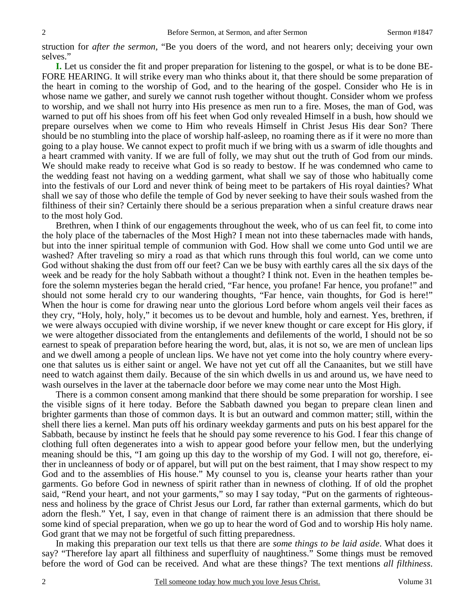struction for *after the sermon,* "Be you doers of the word, and not hearers only; deceiving your own selves."

**I.** Let us consider the fit and proper preparation for listening to the gospel, or what is to be done BE-FORE HEARING. It will strike every man who thinks about it, that there should be some preparation of the heart in coming to the worship of God, and to the hearing of the gospel. Consider who He is in whose name we gather, and surely we cannot rush together without thought. Consider whom we profess to worship, and we shall not hurry into His presence as men run to a fire. Moses, the man of God, was warned to put off his shoes from off his feet when God only revealed Himself in a bush, how should we prepare ourselves when we come to Him who reveals Himself in Christ Jesus His dear Son? There should be no stumbling into the place of worship half-asleep, no roaming there as if it were no more than going to a play house. We cannot expect to profit much if we bring with us a swarm of idle thoughts and a heart crammed with vanity. If we are full of folly, we may shut out the truth of God from our minds. We should make ready to receive what God is so ready to bestow. If he was condemned who came to the wedding feast not having on a wedding garment, what shall we say of those who habitually come into the festivals of our Lord and never think of being meet to be partakers of His royal dainties? What shall we say of those who defile the temple of God by never seeking to have their souls washed from the filthiness of their sin? Certainly there should be a serious preparation when a sinful creature draws near to the most holy God.

 Brethren, when I think of our engagements throughout the week, who of us can feel fit, to come into the holy place of the tabernacles of the Most High? I mean not into these tabernacles made with hands, but into the inner spiritual temple of communion with God. How shall we come unto God until we are washed? After traveling so miry a road as that which runs through this foul world, can we come unto God without shaking the dust from off our feet? Can we be busy with earthly cares all the six days of the week and be ready for the holy Sabbath without a thought? I think not. Even in the heathen temples before the solemn mysteries began the herald cried, "Far hence, you profane! Far hence, you profane!" and should not some herald cry to our wandering thoughts, "Far hence, vain thoughts, for God is here!" When the hour is come for drawing near unto the glorious Lord before whom angels veil their faces as they cry, "Holy, holy, holy," it becomes us to be devout and humble, holy and earnest. Yes, brethren, if we were always occupied with divine worship, if we never knew thought or care except for His glory, if we were altogether dissociated from the entanglements and defilements of the world, I should not be so earnest to speak of preparation before hearing the word, but, alas, it is not so, we are men of unclean lips and we dwell among a people of unclean lips. We have not yet come into the holy country where everyone that salutes us is either saint or angel. We have not yet cut off all the Canaanites, but we still have need to watch against them daily. Because of the sin which dwells in us and around us, we have need to wash ourselves in the laver at the tabernacle door before we may come near unto the Most High.

 There is a common consent among mankind that there should be some preparation for worship. I see the visible signs of it here today. Before the Sabbath dawned you began to prepare clean linen and brighter garments than those of common days. It is but an outward and common matter; still, within the shell there lies a kernel. Man puts off his ordinary weekday garments and puts on his best apparel for the Sabbath, because by instinct he feels that he should pay some reverence to his God. I fear this change of clothing full often degenerates into a wish to appear good before your fellow men, but the underlying meaning should be this, "I am going up this day to the worship of my God. I will not go, therefore, either in uncleanness of body or of apparel, but will put on the best raiment, that I may show respect to my God and to the assemblies of His house." My counsel to you is, cleanse your hearts rather than your garments. Go before God in newness of spirit rather than in newness of clothing. If of old the prophet said, "Rend your heart, and not your garments," so may I say today, "Put on the garments of righteousness and holiness by the grace of Christ Jesus our Lord, far rather than external garments, which do but adorn the flesh." Yet, I say, even in that change of raiment there is an admission that there should be some kind of special preparation, when we go up to hear the word of God and to worship His holy name. God grant that we may not be forgetful of such fitting preparedness.

 In making this preparation our text tells us that there are *some things to be laid aside*. What does it say? "Therefore lay apart all filthiness and superfluity of naughtiness." Some things must be removed before the word of God can be received. And what are these things? The text mentions *all filthiness*.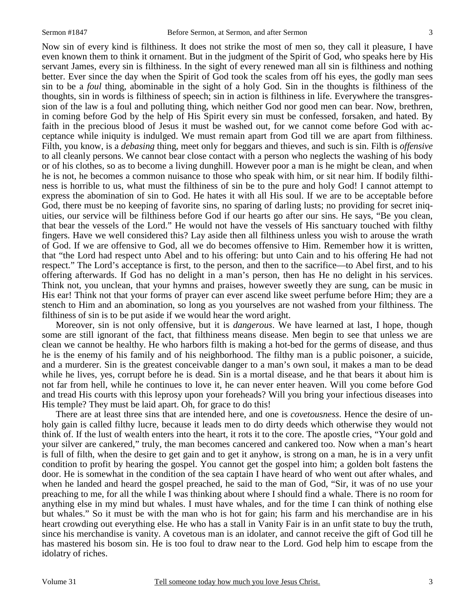Now sin of every kind is filthiness. It does not strike the most of men so, they call it pleasure, I have even known them to think it ornament. But in the judgment of the Spirit of God, who speaks here by His servant James, every sin is filthiness. In the sight of every renewed man all sin is filthiness and nothing better. Ever since the day when the Spirit of God took the scales from off his eyes, the godly man sees sin to be a *foul* thing, abominable in the sight of a holy God. Sin in the thoughts is filthiness of the thoughts, sin in words is filthiness of speech; sin in action is filthiness in life. Everywhere the transgression of the law is a foul and polluting thing, which neither God nor good men can bear. Now, brethren, in coming before God by the help of His Spirit every sin must be confessed, forsaken, and hated. By faith in the precious blood of Jesus it must be washed out, for we cannot come before God with acceptance while iniquity is indulged. We must remain apart from God till we are apart from filthiness. Filth, you know, is a *debasing* thing, meet only for beggars and thieves, and such is sin. Filth is *offensive*  to all cleanly persons. We cannot bear close contact with a person who neglects the washing of his body or of his clothes, so as to become a living dunghill. However poor a man is he might be clean, and when he is not, he becomes a common nuisance to those who speak with him, or sit near him. If bodily filthiness is horrible to us, what must the filthiness of sin be to the pure and holy God! I cannot attempt to express the abomination of sin to God. He hates it with all His soul. If we are to be acceptable before God, there must be no keeping of favorite sins, no sparing of darling lusts; no providing for secret iniquities, our service will be filthiness before God if our hearts go after our sins. He says, "Be you clean, that bear the vessels of the Lord." He would not have the vessels of His sanctuary touched with filthy fingers. Have we well considered this? Lay aside then all filthiness unless you wish to arouse the wrath of God. If we are offensive to God, all we do becomes offensive to Him. Remember how it is written, that "the Lord had respect unto Abel and to his offering: but unto Cain and to his offering He had not respect." The Lord's acceptance is first, to the person, and then to the sacrifice—to Abel first, and to his offering afterwards. If God has no delight in a man's person, then has He no delight in his services. Think not, you unclean, that your hymns and praises, however sweetly they are sung, can be music in His ear! Think not that your forms of prayer can ever ascend like sweet perfume before Him; they are a stench to Him and an abomination, so long as you yourselves are not washed from your filthiness. The filthiness of sin is to be put aside if we would hear the word aright.

 Moreover, sin is not only offensive, but it is *dangerous*. We have learned at last, I hope, though some are still ignorant of the fact, that filthiness means disease. Men begin to see that unless we are clean we cannot be healthy. He who harbors filth is making a hot-bed for the germs of disease, and thus he is the enemy of his family and of his neighborhood. The filthy man is a public poisoner, a suicide, and a murderer. Sin is the greatest conceivable danger to a man's own soul, it makes a man to be dead while he lives, yes, corrupt before he is dead. Sin is a mortal disease, and he that bears it about him is not far from hell, while he continues to love it, he can never enter heaven. Will you come before God and tread His courts with this leprosy upon your foreheads? Will you bring your infectious diseases into His temple? They must be laid apart. Oh, for grace to do this!

 There are at least three sins that are intended here, and one is *covetousness*. Hence the desire of unholy gain is called filthy lucre, because it leads men to do dirty deeds which otherwise they would not think of. If the lust of wealth enters into the heart, it rots it to the core. The apostle cries, "Your gold and your silver are cankered," truly, the man becomes cancered and cankered too. Now when a man's heart is full of filth, when the desire to get gain and to get it anyhow, is strong on a man, he is in a very unfit condition to profit by hearing the gospel. You cannot get the gospel into him; a golden bolt fastens the door. He is somewhat in the condition of the sea captain I have heard of who went out after whales, and when he landed and heard the gospel preached, he said to the man of God, "Sir, it was of no use your preaching to me, for all the while I was thinking about where I should find a whale. There is no room for anything else in my mind but whales. I must have whales, and for the time I can think of nothing else but whales." So it must be with the man who is hot for gain; his farm and his merchandise are in his heart crowding out everything else. He who has a stall in Vanity Fair is in an unfit state to buy the truth, since his merchandise is vanity. A covetous man is an idolater, and cannot receive the gift of God till he has mastered his bosom sin. He is too foul to draw near to the Lord. God help him to escape from the idolatry of riches.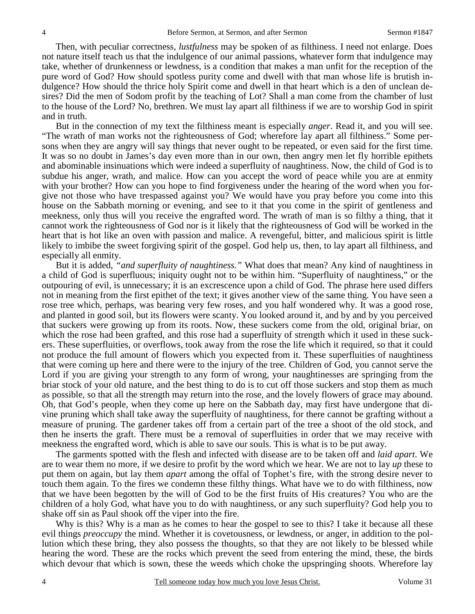Then, with peculiar correctness, *lustfulness* may be spoken of as filthiness. I need not enlarge. Does not nature itself teach us that the indulgence of our animal passions, whatever form that indulgence may take, whether of drunkenness or lewdness, is a condition that makes a man unfit for the reception of the pure word of God? How should spotless purity come and dwell with that man whose life is brutish indulgence? How should the thrice holy Spirit come and dwell in that heart which is a den of unclean desires? Did the men of Sodom profit by the teaching of Lot? Shall a man come from the chamber of lust to the house of the Lord? No, brethren. We must lay apart all filthiness if we are to worship God in spirit and in truth.

 But in the connection of my text the filthiness meant is especially *anger*. Read it, and you will see. "The wrath of man works not the righteousness of God; wherefore lay apart all filthiness." Some persons when they are angry will say things that never ought to be repeated, or even said for the first time. It was so no doubt in James's day even more than in our own, then angry men let fly horrible epithets and abominable insinuations which were indeed a superfluity of naughtiness. Now, the child of God is to subdue his anger, wrath, and malice. How can you accept the word of peace while you are at enmity with your brother? How can you hope to find forgiveness under the hearing of the word when you forgive not those who have trespassed against you? We would have you pray before you come into this house on the Sabbath morning or evening, and see to it that you come in the spirit of gentleness and meekness, only thus will you receive the engrafted word. The wrath of man is so filthy a thing, that it cannot work the righteousness of God nor is it likely that the righteousness of God will be worked in the heart that is hot like an oven with passion and malice. A revengeful, bitter, and malicious spirit is little likely to imbibe the sweet forgiving spirit of the gospel. God help us, then, to lay apart all filthiness, and especially all enmity.

 But it is added, *"and superfluity of naughtiness."* What does that mean? Any kind of naughtiness in a child of God is superfluous; iniquity ought not to be within him. "Superfluity of naughtiness," or the outpouring of evil, is unnecessary; it is an excrescence upon a child of God. The phrase here used differs not in meaning from the first epithet of the text; it gives another view of the same thing. You have seen a rose tree which, perhaps, was bearing very few roses, and you half wondered why. It was a good rose, and planted in good soil, but its flowers were scanty. You looked around it, and by and by you perceived that suckers were growing up from its roots. Now, these suckers come from the old, original briar, on which the rose had been grafted, and this rose had a superfluity of strength which it used in these suckers. These superfluities, or overflows, took away from the rose the life which it required, so that it could not produce the full amount of flowers which you expected from it. These superfluities of naughtiness that were coming up here and there were to the injury of the tree. Children of God, you cannot serve the Lord if you are giving your strength to any form of wrong, your naughtinesses are springing from the briar stock of your old nature, and the best thing to do is to cut off those suckers and stop them as much as possible, so that all the strength may return into the rose, and the lovely flowers of grace may abound. Oh, that God's people, when they come up here on the Sabbath day, may first have undergone that divine pruning which shall take away the superfluity of naughtiness, for there cannot be grafting without a measure of pruning. The gardener takes off from a certain part of the tree a shoot of the old stock, and then he inserts the graft. There must be a removal of superfluities in order that we may receive with meekness the engrafted word, which is able to save our souls. This is what is to be put away.

 The garments spotted with the flesh and infected with disease are to be taken off and *laid apart*. We are to wear them no more, if we desire to profit by the word which we hear. We are not to lay *up* these to put them on again, but lay them *apart* among the offal of Tophet's fire, with the strong desire never to touch them again. To the fires we condemn these filthy things. What have we to do with filthiness, now that we have been begotten by the will of God to be the first fruits of His creatures? You who are the children of a holy God, what have you to do with naughtiness, or any such superfluity? God help you to shake off sin as Paul shook off the viper into the fire.

 Why is this? Why is a man as he comes to hear the gospel to see to this? I take it because all these evil things *preoccupy* the mind. Whether it is covetousness, or lewdness, or anger, in addition to the pollution which these bring, they also possess the thoughts, so that they are not likely to be blessed while hearing the word. These are the rocks which prevent the seed from entering the mind, these, the birds which devour that which is sown, these the weeds which choke the upspringing shoots. Wherefore lay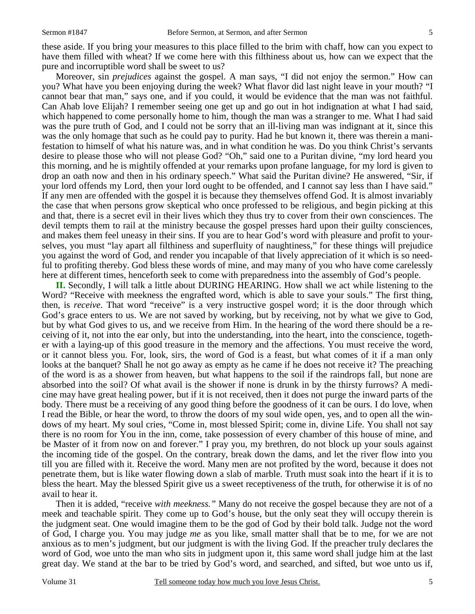these aside. If you bring your measures to this place filled to the brim with chaff, how can you expect to have them filled with wheat? If we come here with this filthiness about us, how can we expect that the pure and incorruptible word shall be sweet to us?

 Moreover, sin *prejudices* against the gospel. A man says, "I did not enjoy the sermon." How can you? What have you been enjoying during the week? What flavor did last night leave in your mouth? "I cannot bear that man," says one, and if you could, it would be evidence that the man was not faithful. Can Ahab love Elijah? I remember seeing one get up and go out in hot indignation at what I had said, which happened to come personally home to him, though the man was a stranger to me. What I had said was the pure truth of God, and I could not be sorry that an ill-living man was indignant at it, since this was the only homage that such as he could pay to purity. Had he but known it, there was therein a manifestation to himself of what his nature was, and in what condition he was. Do you think Christ's servants desire to please those who will not please God? "Oh," said one to a Puritan divine, "my lord heard you this morning, and he is mightily offended at your remarks upon profane language, for my lord is given to drop an oath now and then in his ordinary speech." What said the Puritan divine? He answered, "Sir, if your lord offends my Lord, then your lord ought to be offended, and I cannot say less than I have said." If any men are offended with the gospel it is because they themselves offend God. It is almost invariably the case that when persons grow skeptical who once professed to be religious, and begin picking at this and that, there is a secret evil in their lives which they thus try to cover from their own consciences. The devil tempts them to rail at the ministry because the gospel presses hard upon their guilty consciences, and makes them feel uneasy in their sins. If you are to hear God's word with pleasure and profit to yourselves, you must "lay apart all filthiness and superfluity of naughtiness," for these things will prejudice you against the word of God, and render you incapable of that lively appreciation of it which is so needful to profiting thereby. God bless these words of mine, and may many of you who have come carelessly here at different times, henceforth seek to come with preparedness into the assembly of God's people.

**II.** Secondly, I will talk a little about DURING HEARING. How shall we act while listening to the Word? "Receive with meekness the engrafted word, which is able to save your souls." The first thing, then, is *receive*. That word "receive" is a very instructive gospel word; it is the door through which God's grace enters to us. We are not saved by working, but by receiving, not by what we give to God, but by what God gives to us, and we receive from Him. In the hearing of the word there should be a receiving of it, not into the ear only, but into the understanding, into the heart, into the conscience, together with a laying-up of this good treasure in the memory and the affections. You must receive the word, or it cannot bless you. For, look, sirs, the word of God is a feast, but what comes of it if a man only looks at the banquet? Shall he not go away as empty as he came if he does not receive it? The preaching of the word is as a shower from heaven, but what happens to the soil if the raindrops fall, but none are absorbed into the soil? Of what avail is the shower if none is drunk in by the thirsty furrows? A medicine may have great healing power, but if it is not received, then it does not purge the inward parts of the body. There must be a receiving of any good thing before the goodness of it can be ours. I do love, when I read the Bible, or hear the word, to throw the doors of my soul wide open, yes, and to open all the windows of my heart. My soul cries, "Come in, most blessed Spirit; come in, divine Life. You shall not say there is no room for You in the inn, come, take possession of every chamber of this house of mine, and be Master of it from now on and forever." I pray you, my brethren, do not block up your souls against the incoming tide of the gospel. On the contrary, break down the dams, and let the river flow into you till you are filled with it. Receive the word. Many men are not profited by the word, because it does not penetrate them, but is like water flowing down a slab of marble. Truth must soak into the heart if it is to bless the heart. May the blessed Spirit give us a sweet receptiveness of the truth, for otherwise it is of no avail to hear it.

 Then it is added, "receive *with meekness."* Many do not receive the gospel because they are not of a meek and teachable spirit. They come up to God's house, but the only seat they will occupy therein is the judgment seat. One would imagine them to be the god of God by their bold talk. Judge not the word of God, I charge you. You may judge *me* as you like, small matter shall that be to me, for we are not anxious as to men's judgment, but our judgment is with the living God. If the preacher truly declares the word of God, woe unto the man who sits in judgment upon it, this same word shall judge him at the last great day. We stand at the bar to be tried by God's word, and searched, and sifted, but woe unto us if,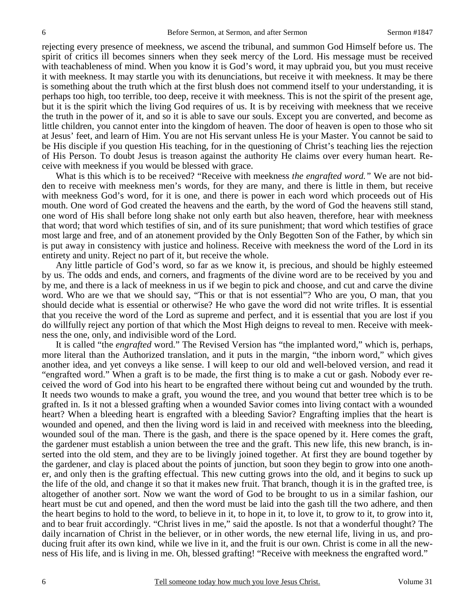rejecting every presence of meekness, we ascend the tribunal, and summon God Himself before us. The spirit of critics ill becomes sinners when they seek mercy of the Lord. His message must be received with teachableness of mind. When you know it is God's word, it may upbraid you, but you must receive it with meekness. It may startle you with its denunciations, but receive it with meekness. It may be there is something about the truth which at the first blush does not commend itself to your understanding, it is perhaps too high, too terrible, too deep, receive it with meekness. This is not the spirit of the present age, but it is the spirit which the living God requires of us. It is by receiving with meekness that we receive the truth in the power of it, and so it is able to save our souls. Except you are converted, and become as little children, you cannot enter into the kingdom of heaven. The door of heaven is open to those who sit at Jesus' feet, and learn of Him. You are not His servant unless He is your Master. You cannot be said to be His disciple if you question His teaching, for in the questioning of Christ's teaching lies the rejection of His Person. To doubt Jesus is treason against the authority He claims over every human heart. Receive with meekness if you would be blessed with grace.

 What is this which is to be received? "Receive with meekness *the engrafted word."* We are not bidden to receive with meekness men's words, for they are many, and there is little in them, but receive with meekness God's word, for it is one, and there is power in each word which proceeds out of His mouth. One word of God created the heavens and the earth, by the word of God the heavens still stand, one word of His shall before long shake not only earth but also heaven, therefore, hear with meekness that word; that word which testifies of sin, and of its sure punishment; that word which testifies of grace most large and free, and of an atonement provided by the Only Begotten Son of the Father, by which sin is put away in consistency with justice and holiness. Receive with meekness the word of the Lord in its entirety and unity. Reject no part of it, but receive the whole.

 Any little particle of God's word, so far as we know it, is precious, and should be highly esteemed by us. The odds and ends, and corners, and fragments of the divine word are to be received by you and by me, and there is a lack of meekness in us if we begin to pick and choose, and cut and carve the divine word. Who are we that we should say, "This or that is not essential"? Who are you, O man, that you should decide what is essential or otherwise? He who gave the word did not write trifles. It is essential that you receive the word of the Lord as supreme and perfect, and it is essential that you are lost if you do willfully reject any portion of that which the Most High deigns to reveal to men. Receive with meekness the one, only, and indivisible word of the Lord.

 It is called "the *engrafted* word." The Revised Version has "the implanted word," which is, perhaps, more literal than the Authorized translation, and it puts in the margin, "the inborn word," which gives another idea, and yet conveys a like sense. I will keep to our old and well-beloved version, and read it "engrafted word." When a graft is to be made, the first thing is to make a cut or gash. Nobody ever received the word of God into his heart to be engrafted there without being cut and wounded by the truth. It needs two wounds to make a graft, you wound the tree, and you wound that better tree which is to be grafted in. Is it not a blessed grafting when a wounded Savior comes into living contact with a wounded heart? When a bleeding heart is engrafted with a bleeding Savior? Engrafting implies that the heart is wounded and opened, and then the living word is laid in and received with meekness into the bleeding, wounded soul of the man. There is the gash, and there is the space opened by it. Here comes the graft, the gardener must establish a union between the tree and the graft. This new life, this new branch, is inserted into the old stem, and they are to be livingly joined together. At first they are bound together by the gardener, and clay is placed about the points of junction, but soon they begin to grow into one another, and only then is the grafting effectual. This new cutting grows into the old, and it begins to suck up the life of the old, and change it so that it makes new fruit. That branch, though it is in the grafted tree, is altogether of another sort. Now we want the word of God to be brought to us in a similar fashion, our heart must be cut and opened, and then the word must be laid into the gash till the two adhere, and then the heart begins to hold to the word, to believe in it, to hope in it, to love it, to grow to it, to grow into it, and to bear fruit accordingly. "Christ lives in me," said the apostle. Is not that a wonderful thought? The daily incarnation of Christ in the believer, or in other words, the new eternal life, living in us, and producing fruit after its own kind, while we live in it, and the fruit is our own. Christ is come in all the newness of His life, and is living in me. Oh, blessed grafting! "Receive with meekness the engrafted word."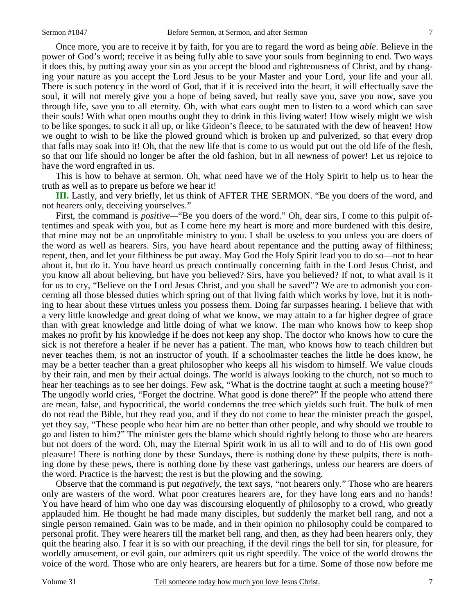Once more, you are to receive it by faith, for you are to regard the word as being *able*. Believe in the power of God's word; receive it as being fully able to save your souls from beginning to end. Two ways it does this, by putting away your sin as you accept the blood and righteousness of Christ, and by changing your nature as you accept the Lord Jesus to be your Master and your Lord, your life and your all. There is such potency in the word of God, that if it is received into the heart, it will effectually save the soul, it will not merely give you a hope of being saved, but really save you, save you now, save you through life, save you to all eternity. Oh, with what ears ought men to listen to a word which can save their souls! With what open mouths ought they to drink in this living water! How wisely might we wish to be like sponges, to suck it all up, or like Gideon's fleece, to be saturated with the dew of heaven! How we ought to wish to be like the plowed ground which is broken up and pulverized, so that every drop that falls may soak into it! Oh, that the new life that is come to us would put out the old life of the flesh, so that our life should no longer be after the old fashion, but in all newness of power! Let us rejoice to have the word engrafted in us.

 This is how to behave at sermon. Oh, what need have we of the Holy Spirit to help us to hear the truth as well as to prepare us before we hear it!

**III.** Lastly, and very briefly, let us think of AFTER THE SERMON. "Be you doers of the word, and not hearers only, deceiving yourselves."

First, the command is *positive*—"Be you doers of the word." Oh, dear sirs, I come to this pulpit oftentimes and speak with you, but as I come here my heart is more and more burdened with this desire, that mine may not be an unprofitable ministry to you. I shall be useless to you unless you are doers of the word as well as hearers. Sirs, you have heard about repentance and the putting away of filthiness; repent, then, and let your filthiness be put away. May God the Holy Spirit lead you to do so—not to hear about it, but do it. You have heard us preach continually concerning faith in the Lord Jesus Christ, and you know all about believing, but have you believed? Sirs, have you believed? If not, to what avail is it for us to cry, "Believe on the Lord Jesus Christ, and you shall be saved"? We are to admonish you concerning all those blessed duties which spring out of that living faith which works by love, but it is nothing to hear about these virtues unless you possess them. Doing far surpasses hearing. I believe that with a very little knowledge and great doing of what we know, we may attain to a far higher degree of grace than with great knowledge and little doing of what we know. The man who knows how to keep shop makes no profit by his knowledge if he does not keep any shop. The doctor who knows how to cure the sick is not therefore a healer if he never has a patient. The man, who knows how to teach children but never teaches them, is not an instructor of youth. If a schoolmaster teaches the little he does know, he may be a better teacher than a great philosopher who keeps all his wisdom to himself. We value clouds by their rain, and men by their actual doings. The world is always looking to the church, not so much to hear her teachings as to see her doings. Few ask, "What is the doctrine taught at such a meeting house?" The ungodly world cries, "Forget the doctrine. What good is done there?" If the people who attend there are mean, false, and hypocritical, the world condemns the tree which yields such fruit. The bulk of men do not read the Bible, but they read you, and if they do not come to hear the minister preach the gospel, yet they say, "These people who hear him are no better than other people, and why should we trouble to go and listen to him?" The minister gets the blame which should rightly belong to those who are hearers but not doers of the word. Oh, may the Eternal Spirit work in us all to will and to do of His own good pleasure! There is nothing done by these Sundays, there is nothing done by these pulpits, there is nothing done by these pews, there is nothing done by these vast gatherings, unless our hearers are doers of the word. Practice is the harvest; the rest is but the plowing and the sowing.

 Observe that the command is put *negatively,* the text says, "not hearers only." Those who are hearers only are wasters of the word. What poor creatures hearers are, for they have long ears and no hands! You have heard of him who one day was discoursing eloquently of philosophy to a crowd, who greatly applauded him. He thought he had made many disciples, but suddenly the market bell rang, and not a single person remained. Gain was to be made, and in their opinion no philosophy could be compared to personal profit. They were hearers till the market bell rang, and then, as they had been hearers only, they quit the hearing also. I fear it is so with our preaching, if the devil rings the bell for sin, for pleasure, for worldly amusement, or evil gain, our admirers quit us right speedily. The voice of the world drowns the voice of the word. Those who are only hearers, are hearers but for a time. Some of those now before me